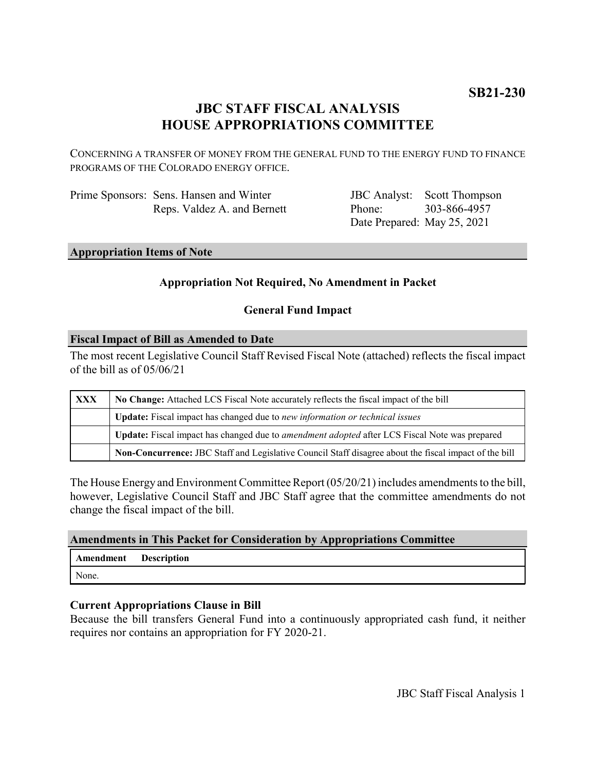# **JBC STAFF FISCAL ANALYSIS HOUSE APPROPRIATIONS COMMITTEE**

CONCERNING A TRANSFER OF MONEY FROM THE GENERAL FUND TO THE ENERGY FUND TO FINANCE PROGRAMS OF THE COLORADO ENERGY OFFICE.

| Prime Sponsors: Sens. Hansen and Winter |
|-----------------------------------------|
| Reps. Valdez A. and Bernett             |

JBC Analyst: Scott Thompson Phone: Date Prepared: May 25, 2021 303-866-4957

# **Appropriation Items of Note**

# **Appropriation Not Required, No Amendment in Packet**

# **General Fund Impact**

# **Fiscal Impact of Bill as Amended to Date**

The most recent Legislative Council Staff Revised Fiscal Note (attached) reflects the fiscal impact of the bill as of 05/06/21

| <b>XXX</b> | No Change: Attached LCS Fiscal Note accurately reflects the fiscal impact of the bill                 |  |
|------------|-------------------------------------------------------------------------------------------------------|--|
|            | <b>Update:</b> Fiscal impact has changed due to new information or technical issues                   |  |
|            | Update: Fiscal impact has changed due to <i>amendment adopted</i> after LCS Fiscal Note was prepared  |  |
|            | Non-Concurrence: JBC Staff and Legislative Council Staff disagree about the fiscal impact of the bill |  |

The House Energy and Environment Committee Report (05/20/21) includes amendments to the bill, however, Legislative Council Staff and JBC Staff agree that the committee amendments do not change the fiscal impact of the bill.

#### **Amendments in This Packet for Consideration by Appropriations Committee**

| Amendment Description |  |
|-----------------------|--|
| None.                 |  |

# **Current Appropriations Clause in Bill**

Because the bill transfers General Fund into a continuously appropriated cash fund, it neither requires nor contains an appropriation for FY 2020-21.